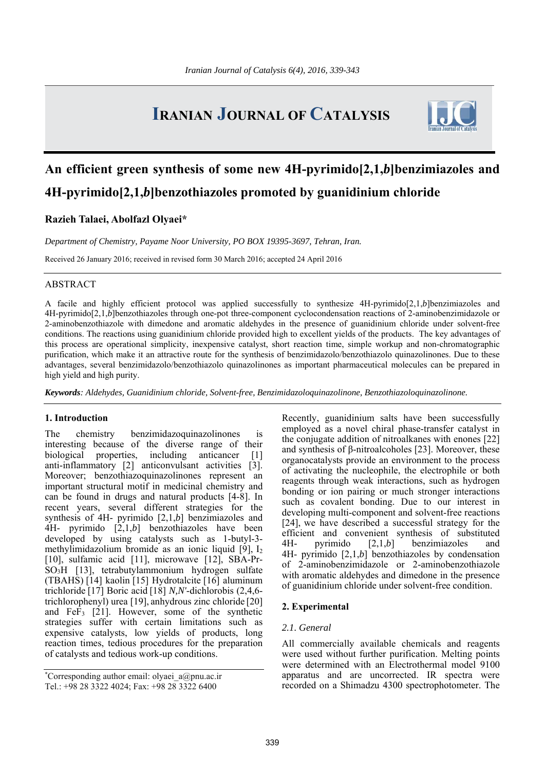# **IRANIAN JOURNAL OF CATALYSIS**



# **An efficient green synthesis of some new 4H-pyrimido[2,1,***b***]benzimiazoles and 4H-pyrimido[2,1,***b***]benzothiazoles promoted by guanidinium chloride**

# **Razieh Talaei, Abolfazl Olyaei\***

*Department of Chemistry, Payame Noor University, PO BOX 19395-3697, Tehran, Iran.* 

Received 26 January 2016; received in revised form 30 March 2016; accepted 24 April 2016

### ABSTRACT

A facile and highly efficient protocol was applied successfully to synthesize 4H-pyrimido[2,1,*b*]benzimiazoles and 4H-pyrimido[2,1,*b*]benzothiazoles through one-pot three-component cyclocondensation reactions of 2-aminobenzimidazole or 2-aminobenzothiazole with dimedone and aromatic aldehydes in the presence of guanidinium chloride under solvent-free conditions. The reactions using guanidinium chloride provided high to excellent yields of the products. The key advantages of this process are operational simplicity, inexpensive catalyst, short reaction time, simple workup and non-chromatographic purification, which make it an attractive route for the synthesis of benzimidazolo/benzothiazolo quinazolinones. Due to these advantages, several benzimidazolo/benzothiazolo quinazolinones as important pharmaceutical molecules can be prepared in high yield and high purity.

*Keywords: Aldehydes, Guanidinium chloride, Solvent-free, Benzimidazoloquinazolinone, Benzothiazoloquinazolinone.* 

#### **1. Introduction**

The chemistry benzimidazoquinazolinones is interesting because of the diverse range of their biological properties, including anticancer [1] anti-inflammatory [2] anticonvulsant activities [3]. Moreover; benzothiazoquinazolinones represent an important structural motif in medicinal chemistry and can be found in drugs and natural products [4-8]. In recent years, several different strategies for the synthesis of 4H- pyrimido [2,1,*b*] benzimiazoles and 4H- pyrimido [2,1,*b*] benzothiazoles have been developed by using catalysts such as 1-butyl-3 methylimidazolium bromide as an ionic liquid [9], I2 [10], sulfamic acid [11], microwave [12], SBA-Pr-SO3H [13], tetrabutylammonium hydrogen sulfate (TBAHS) [14] kaolin [15] Hydrotalcite [16] aluminum trichloride [17] Boric acid [18] *N,N'*-dichlorobis (2,4,6 trichlorophenyl) urea [19], anhydrous zinc chloride [20] and FeF3 [21]. However, some of the synthetic strategies suffer with certain limitations such as expensive catalysts, low yields of products, long reaction times, tedious procedures for the preparation of catalysts and tedious work-up conditions.

Recently, guanidinium salts have been successfully employed as a novel chiral phase-transfer catalyst in the conjugate addition of nitroalkanes with enones [22] and synthesis of β-nitroalcoholes [23]. Moreover, these organocatalysts provide an environment to the process of activating the nucleophile, the electrophile or both reagents through weak interactions, such as hydrogen bonding or ion pairing or much stronger interactions such as covalent bonding. Due to our interest in developing multi-component and solvent-free reactions [24], we have described a successful strategy for the efficient and convenient synthesis of substituted 4H- pyrimido [2,1,*b*] benzimiazoles and 4H- pyrimido [2,1,*b*] benzothiazoles by condensation of 2-aminobenzimidazole or 2-aminobenzothiazole with aromatic aldehydes and dimedone in the presence of guanidinium chloride under solvent-free condition.

#### **2. Experimental**

### *2.1. General*

All commercially available chemicals and reagents were used without further purification. Melting points were determined with an Electrothermal model 9100 apparatus and are uncorrected. IR spectra were recorded on a Shimadzu 4300 spectrophotometer. The

<sup>\*</sup> Corresponding author email: olyaei\_a@pnu.ac.ir Tel.: +98 28 3322 4024; Fax: +98 28 3322 6400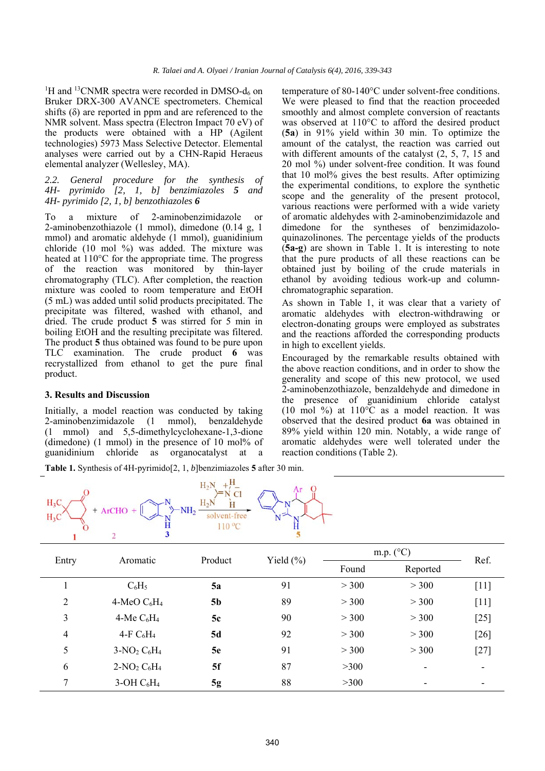<sup>1</sup>H and <sup>13</sup>CNMR spectra were recorded in DMSO- $d_6$  on Bruker DRX-300 AVANCE spectrometers. Chemical shifts  $(\delta)$  are reported in ppm and are referenced to the NMR solvent. Mass spectra (Electron Impact 70 eV) of the products were obtained with a HP (Agilent technologies) 5973 Mass Selective Detector. Elemental analyses were carried out by a CHN-Rapid Heraeus elemental analyzer (Wellesley, MA).

## *2.2. General procedure for the synthesis of 4H- pyrimido [2, 1, b] benzimiazoles 5 and 4H- pyrimido [2, 1, b] benzothiazoles 6*

To a mixture of 2-aminobenzimidazole or 2-aminobenzothiazole (1 mmol), dimedone (0.14 g, 1 mmol) and aromatic aldehyde (1 mmol), guanidinium chloride (10 mol %) was added. The mixture was heated at 110°C for the appropriate time. The progress of the reaction was monitored by thin-layer chromatography (TLC). After completion, the reaction mixture was cooled to room temperature and EtOH (5 mL) was added until solid products precipitated. The precipitate was filtered, washed with ethanol, and dried. The crude product **5** was stirred for 5 min in boiling EtOH and the resulting precipitate was filtered. The product **5** thus obtained was found to be pure upon TLC examination. The crude product **6** was recrystallized from ethanol to get the pure final product.

#### **3. Results and Discussion**

Initially, a model reaction was conducted by taking 2-aminobenzimidazole (1 mmol), benzaldehyde (1 mmol) and 5,5-dimethylcyclohexane-1,3-dione (dimedone) (1 mmol) in the presence of 10 mol% of guanidinium chloride as organocatalyst at a

temperature of 80-140°C under solvent-free conditions. We were pleased to find that the reaction proceeded smoothly and almost complete conversion of reactants was observed at 110°C to afford the desired product (**5a**) in 91% yield within 30 min. To optimize the amount of the catalyst, the reaction was carried out with different amounts of the catalyst  $(2, 5, 7, 15, 2)$ 20 mol %) under solvent-free condition. It was found that 10 mol% gives the best results. After optimizing the experimental conditions, to explore the synthetic scope and the generality of the present protocol, various reactions were performed with a wide variety of aromatic aldehydes with 2-aminobenzimidazole and dimedone for the syntheses of benzimidazoloquinazolinones. The percentage yields of the products (**5a-g**) are shown in Table 1. It is interesting to note that the pure products of all these reactions can be obtained just by boiling of the crude materials in ethanol by avoiding tedious work-up and columnchromatographic separation.

As shown in Table 1, it was clear that a variety of aromatic aldehydes with electron-withdrawing or electron-donating groups were employed as substrates and the reactions afforded the corresponding products in high to excellent yields.

Encouraged by the remarkable results obtained with the above reaction conditions, and in order to show the generality and scope of this new protocol, we used 2-aminobenzothiazole, benzaldehyde and dimedone in the presence of guanidinium chloride catalyst (10 mol %) at  $110^{\circ}$ C as a model reaction. It was observed that the desired product **6a** was obtained in 89% yield within 120 min. Notably, a wide range of aromatic aldehydes were well tolerated under the reaction conditions (Table 2).

**Table 1.** Synthesis of 4H-pyrimido[2, 1, *b*]benzimiazoles **5** after 30 min.



| Entry          | Aromatic       | Product   | Yield $(\% )$ | m.p. $(^{\circ}C)$ |          |        |
|----------------|----------------|-----------|---------------|--------------------|----------|--------|
|                |                |           |               | Found              | Reported | Ref.   |
|                | $C_6H_5$       | 5a        | 91            | > 300              | > 300    | $[11]$ |
| $\overline{2}$ | 4-MeO $C_6H_4$ | <b>5b</b> | 89            | > 300              | > 300    | $[11]$ |
| 3              | 4-Me $C_6H_4$  | 5c        | 90            | > 300              | > 300    | $[25]$ |
| 4              | 4-F $C_6H_4$   | 5d        | 92            | > 300              | > 300    | $[26]$ |
| 5              | $3-NO2 C6H4$   | 5e        | 91            | > 300              | > 300    | $[27]$ |
| 6              | $2-NO2 C6H4$   | 5f        | 87            | >300               | ٠        |        |
| 7              | $3-OH C6H4$    | 5g        | 88            | >300               | ٠        |        |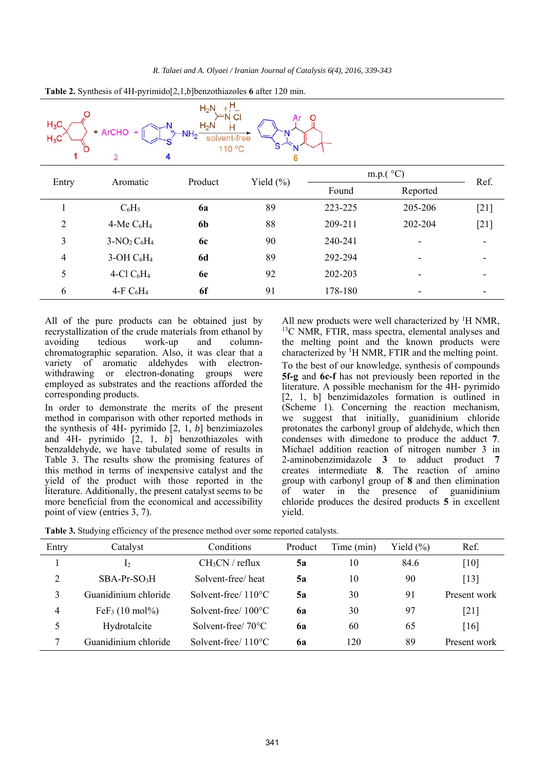

**Table 2.** Synthesis of 4H-pyrimido[2,1,*b*]benzothiazoles **6** after 120 min.

All of the pure products can be obtained just by recrystallization of the crude materials from ethanol by avoiding tedious work-up and columnchromatographic separation. Also, it was clear that a variety of aromatic aldehydes with electronwithdrawing or electron-donating groups were employed as substrates and the reactions afforded the corresponding products.

In order to demonstrate the merits of the present method in comparison with other reported methods in the synthesis of 4H- pyrimido [2, 1, *b*] benzimiazoles and 4H- pyrimido [2, 1, *b*] benzothiazoles with benzaldehyde, we have tabulated some of results in Table 3. The results show the promising features of this method in terms of inexpensive catalyst and the yield of the product with those reported in the literature. Additionally, the present catalyst seems to be more beneficial from the economical and accessibility point of view (entries 3, 7).

All new products were well characterized by  ${}^{1}$ H NMR, <sup>13</sup>C NMR, FTIR, mass spectra, elemental analyses and the melting point and the known products were characterized by <sup>1</sup>H NMR, FTIR and the melting point. To the best of our knowledge, synthesis of compounds **5f-g** and **6c-f** has not previously been reported in the literature. A possible mechanism for the 4H- pyrimido [2, 1, b] benzimidazoles formation is outlined in (Scheme 1). Concerning the reaction mechanism, we suggest that initially, guanidinium chloride protonates the carbonyl group of aldehyde, which then condenses with dimedone to produce the adduct **7**. Michael addition reaction of nitrogen number 3 in 2-aminobenzimidazole **3** to adduct product **7** creates intermediate **8**. The reaction of amino group with carbonyl group of **8** and then elimination of water in the presence of guanidinium chloride produces the desired products **5** in excellent yield.

|  |  | Table 3. Studying efficiency of the presence method over some reported catalysts. |
|--|--|-----------------------------------------------------------------------------------|
|--|--|-----------------------------------------------------------------------------------|

| Entry | Catalyst                              | Conditions                    | Product   | Time (min) | Yield $(\% )$ | Ref.         |
|-------|---------------------------------------|-------------------------------|-----------|------------|---------------|--------------|
|       | $\mathbf{L}$                          | $CH3CN$ / reflux              | 5a        | 10         | 84.6          | [10]         |
| 2     | $SBA-Pr-SO3H$                         | Solvent-free/heat             | 5a        | 10         | 90            | [13]         |
| 3     | Guanidinium chloride                  | Solvent-free/ $110^{\circ}$ C | 5a        | 30         | 91            | Present work |
| 4     | FeF <sub>3</sub> $(10 \text{ mol\%})$ | Solvent-free/ $100^{\circ}$ C | <b>6a</b> | 30         | 97            | [21]         |
| 5     | Hydrotalcite                          | Solvent-free/ $70^{\circ}$ C  | 6a        | 60         | 65            | [16]         |
|       | Guanidinium chloride                  | Solvent-free/ $110^{\circ}$ C | <b>6a</b> | 120        | 89            | Present work |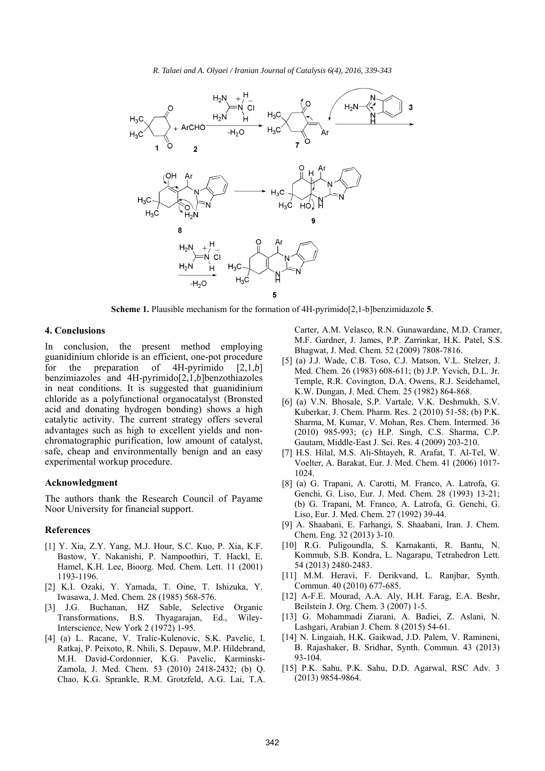*R. Talaei and A. Olyaei / Iranian Journal of Catalysis 6(4), 2016, 339-343* 



**Scheme 1.** Plausible mechanism for the formation of 4H-pyrimido[2,1-b]benzimidazole **5**.

#### **4. Conclusions**

In conclusion, the present method employing guanidinium chloride is an efficient, one-pot procedure<br>for the preparation of 4H-pyrimido [2.1.b] for the preparation of 4H-pyrimido [2,1,*b*] benzimiazoles and 4H-pyrimido[2,1,*b*]benzothiazoles in neat conditions. It is suggested that guanidinium chloride as a polyfunctional organocatalyst (Bronsted acid and donating hydrogen bonding) shows a high catalytic activity. The current strategy offers several advantages such as high to excellent yields and nonchromatographic purification, low amount of catalyst, safe, cheap and environmentally benign and an easy experimental workup procedure.

#### **Acknowledgment**

The authors thank the Research Council of Payame Noor University for financial support.

#### **References**

- [1] Y. Xia, Z.Y. Yang, M.J. Hour, S.C. Kuo, P. Xia, K.F. Bastow, Y. Nakanishi, P. Nampoothiri, T. Hackl, E. Hamel, K.H. Lee, Bioorg. Med. Chem. Lett. 11 (2001) 1193-1196.
- [2] K.I. Ozaki, Y. Yamada, T. Oine, T. Ishizuka, Y. Iwasawa, J. Med. Chem. 28 (1985) 568-576.
- [3] J.G. Buchanan, HZ Sable, Selective Organic Transformations, B.S. Thyagarajan, Ed., Wiley-Interscience, New York 2 (1972) 1-95.
- [4] (a) L. Racane, V. Tralic-Kulenovic, S.K. Pavelic, I. Ratkaj, P. Peixoto, R. Nhili, S. Depauw, M.P. Hildebrand, M.H. David-Cordonnier, K.G. Pavelic, Karminski-Zamola, J. Med. Chem. 53 (2010) 2418-2432; (b) Q. Chao, K.G. Sprankle, R.M. Grotzfeld, A.G. Lai, T.A.

Carter, A.M. Velasco, R.N. Gunawardane, M.D. Cramer, M.F. Gardner, J. James, P.P. Zarrinkar, H.K. Patel, S.S. Bhagwat, J. Med. Chem. 52 (2009) 7808-7816.

- [5] (a) J.J. Wade, C.B. Toso, C.J. Matson, V.L. Stelzer, J. Med. Chem. 26 (1983) 608-611; (b) J.P. Yevich, D.L. Jr. Temple, R.R. Covington, D.A. Owens, R.J. Seidehamel, K.W. Dungan, J. Med. Chem. 25 (1982) 864-868.
- [6] (a) V.N. Bhosale, S.P. Vartale, V.K. Deshmukh, S.V. Kuberkar, J. Chem. Pharm. Res. 2 (2010) 51-58; (b) P.K. Sharma, M. Kumar, V. Mohan, Res. Chem. Intermed. 36 (2010) 985-993; (c) H.P. Singh, C.S. Sharma, C.P. Gautam, Middle-East J. Sci. Res. 4 (2009) 203-210.
- [7] H.S. Hilal, M.S. Ali-Shtayeh, R. Arafat, T. Al-Tel, W. Voelter, A. Barakat, Eur. J. Med. Chem. 41 (2006) 1017- 1024.
- [8] (a) G. Trapani, A. Carotti, M. Franco, A. Latrofa, G. Genchi, G. Liso, Eur. J. Med. Chem. 28 (1993) 13-21; (b) G. Trapani, M. Franco, A. Latrofa, G. Genchi, G. Liso, Eur. J. Med. Chem. 27 (1992) 39-44.
- [9] A. Shaabani, E. Farhangi, S. Shaabani, Iran. J. Chem. Chem. Eng. 32 (2013) 3-10.
- [10] R.G. Puligoundla, S. Karnakanti, R. Bantu, N. Kommub, S.B. Kondra, L. Nagarapu, Tetrahedron Lett. 54 (2013) 2480-2483.
- [11] M.M. Heravi, F. Derikvand, L. Ranjbar, Synth. Commun. 40 (2010) 677-685.
- [12] A-F.E. Mourad, A.A. Aly, H.H. Farag, E.A. Beshr, Beilstein J. Org. Chem. 3 (2007) 1-5.
- [13] G. Mohammadi Ziarani, A. Badiei, Z. Aslani, N. Lashgari, Arabian J. Chem. 8 (2015) 54-61.
- [14] N. Lingaiah, H.K. Gaikwad, J.D. Palem, V. Ramineni, B. Rajashaker, B. Sridhar, Synth. Commun. 43 (2013) 93-104.
- [15] P.K. Sahu, P.K. Sahu, D.D. Agarwal, RSC Adv. 3 (2013) 9854-9864.